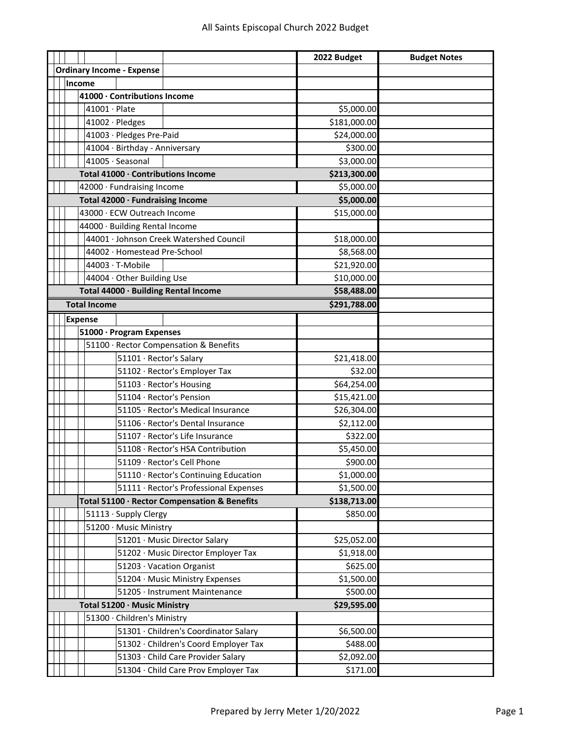|                                  |                              |        |                     |                                  |                                              | 2022 Budget  | <b>Budget Notes</b> |
|----------------------------------|------------------------------|--------|---------------------|----------------------------------|----------------------------------------------|--------------|---------------------|
|                                  |                              |        |                     | <b>Ordinary Income - Expense</b> |                                              |              |                     |
|                                  |                              | Income |                     |                                  |                                              |              |                     |
|                                  |                              |        |                     | 41000 · Contributions Income     |                                              |              |                     |
|                                  |                              |        | $41001 \cdot$ Plate |                                  |                                              | \$5,000.00   |                     |
|                                  |                              |        | 41002 · Pledges     |                                  |                                              | \$181,000.00 |                     |
|                                  |                              |        |                     | 41003 · Pledges Pre-Paid         |                                              | \$24,000.00  |                     |
|                                  |                              |        |                     | 41004 · Birthday - Anniversary   |                                              | \$300.00     |                     |
|                                  |                              |        |                     | 41005 · Seasonal                 |                                              | \$3,000.00   |                     |
|                                  |                              |        |                     |                                  | Total 41000 · Contributions Income           | \$213,300.00 |                     |
| 42000 · Fundraising Income       |                              |        |                     |                                  |                                              | \$5,000.00   |                     |
| Total 42000 · Fundraising Income |                              |        |                     |                                  |                                              | \$5,000.00   |                     |
|                                  |                              |        |                     | 43000 · ECW Outreach Income      |                                              | \$15,000.00  |                     |
|                                  |                              |        |                     | 44000 · Building Rental Income   |                                              |              |                     |
|                                  |                              |        |                     |                                  | 44001 · Johnson Creek Watershed Council      | \$18,000.00  |                     |
|                                  |                              |        |                     | 44002 · Homestead Pre-School     |                                              | \$8,568.00   |                     |
|                                  |                              |        |                     | 44003 · T-Mobile                 |                                              | \$21,920.00  |                     |
|                                  |                              |        |                     | 44004 · Other Building Use       |                                              | \$10,000.00  |                     |
|                                  |                              |        |                     |                                  | Total 44000 · Building Rental Income         | \$58,488.00  |                     |
|                                  |                              |        | <b>Total Income</b> |                                  |                                              | \$291,788.00 |                     |
|                                  |                              |        | <b>Expense</b>      |                                  |                                              |              |                     |
|                                  |                              |        |                     | 51000 · Program Expenses         |                                              |              |                     |
|                                  |                              |        |                     |                                  | 51100 · Rector Compensation & Benefits       |              |                     |
|                                  |                              |        |                     | 51101 · Rector's Salary          |                                              | \$21,418.00  |                     |
|                                  |                              |        |                     |                                  | 51102 · Rector's Employer Tax                | \$32.00      |                     |
|                                  |                              |        |                     |                                  | 51103 · Rector's Housing                     | \$64,254.00  |                     |
|                                  |                              |        |                     |                                  | 51104 · Rector's Pension                     | \$15,421.00  |                     |
|                                  |                              |        |                     |                                  | 51105 · Rector's Medical Insurance           | \$26,304.00  |                     |
|                                  |                              |        |                     |                                  | 51106 · Rector's Dental Insurance            | \$2,112.00   |                     |
|                                  |                              |        |                     |                                  | 51107 · Rector's Life Insurance              | \$322.00     |                     |
|                                  |                              |        |                     |                                  | 51108 · Rector's HSA Contribution            | \$5,450.00   |                     |
|                                  |                              |        |                     |                                  | 51109 · Rector's Cell Phone                  | \$900.00     |                     |
|                                  |                              |        |                     |                                  | 51110 · Rector's Continuing Education        | \$1,000.00   |                     |
|                                  |                              |        |                     |                                  | 51111 · Rector's Professional Expenses       | \$1,500.00   |                     |
|                                  |                              |        |                     |                                  | Total 51100 · Rector Compensation & Benefits | \$138,713.00 |                     |
|                                  |                              |        |                     | 51113 · Supply Clergy            |                                              | \$850.00     |                     |
|                                  |                              |        |                     | 51200 · Music Ministry           |                                              |              |                     |
|                                  |                              |        |                     |                                  | 51201 · Music Director Salary                | \$25,052.00  |                     |
|                                  |                              |        |                     |                                  | 51202 · Music Director Employer Tax          | \$1,918.00   |                     |
|                                  |                              |        |                     |                                  | 51203 · Vacation Organist                    | \$625.00     |                     |
|                                  |                              |        |                     |                                  | 51204 · Music Ministry Expenses              | \$1,500.00   |                     |
|                                  |                              |        |                     |                                  | 51205 · Instrument Maintenance               | \$500.00     |                     |
|                                  | Total 51200 · Music Ministry |        |                     |                                  |                                              | \$29,595.00  |                     |
|                                  |                              |        |                     | 51300 · Children's Ministry      |                                              |              |                     |
|                                  |                              |        |                     |                                  | 51301 · Children's Coordinator Salary        | \$6,500.00   |                     |
|                                  |                              |        |                     |                                  | 51302 · Children's Coord Employer Tax        | \$488.00     |                     |
|                                  |                              |        |                     |                                  | 51303 · Child Care Provider Salary           | \$2,092.00   |                     |
|                                  |                              |        |                     |                                  | 51304 · Child Care Prov Employer Tax         | \$171.00     |                     |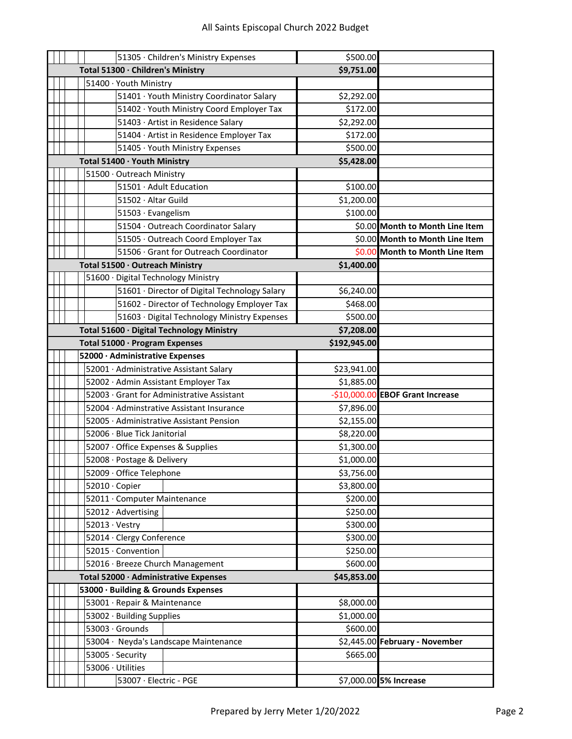|  | 51305 · Children's Ministry Expenses          | \$500.00     |                                  |
|--|-----------------------------------------------|--------------|----------------------------------|
|  | Total 51300 · Children's Ministry             | \$9,751.00   |                                  |
|  | 51400 · Youth Ministry                        |              |                                  |
|  | 51401 · Youth Ministry Coordinator Salary     | \$2,292.00   |                                  |
|  | 51402 · Youth Ministry Coord Employer Tax     | \$172.00     |                                  |
|  | 51403 · Artist in Residence Salary            | \$2,292.00   |                                  |
|  | 51404 · Artist in Residence Employer Tax      | \$172.00     |                                  |
|  | 51405 · Youth Ministry Expenses               | \$500.00     |                                  |
|  | Total 51400 · Youth Ministry                  | \$5,428.00   |                                  |
|  | 51500 · Outreach Ministry                     |              |                                  |
|  | 51501 · Adult Education                       | \$100.00     |                                  |
|  | 51502 · Altar Guild                           | \$1,200.00   |                                  |
|  | 51503 · Evangelism                            | \$100.00     |                                  |
|  | 51504 · Outreach Coordinator Salary           |              | \$0.00 Month to Month Line Item  |
|  | 51505 · Outreach Coord Employer Tax           |              | \$0.00 Month to Month Line Item  |
|  | 51506 · Grant for Outreach Coordinator        |              | \$0.00 Month to Month Line Item  |
|  | Total 51500 · Outreach Ministry               | \$1,400.00   |                                  |
|  | 51600 · Digital Technology Ministry           |              |                                  |
|  | 51601 · Director of Digital Technology Salary | \$6,240.00   |                                  |
|  | 51602 - Director of Technology Employer Tax   | \$468.00     |                                  |
|  | 51603 · Digital Technology Ministry Expenses  | \$500.00     |                                  |
|  | Total 51600 · Digital Technology Ministry     | \$7,208.00   |                                  |
|  | Total 51000 · Program Expenses                | \$192,945.00 |                                  |
|  | 52000 · Administrative Expenses               |              |                                  |
|  | 52001 · Administrative Assistant Salary       | \$23,941.00  |                                  |
|  | 52002 · Admin Assistant Employer Tax          | \$1,885.00   |                                  |
|  | 52003 · Grant for Administrative Assistant    |              | -\$10,000.00 EBOF Grant Increase |
|  | 52004 · Adminstrative Assistant Insurance     | \$7,896.00   |                                  |
|  | 52005 · Administrative Assistant Pension      | \$2,155.00   |                                  |
|  | 52006 · Blue Tick Janitorial                  | \$8,220.00   |                                  |
|  | 52007 · Office Expenses & Supplies            | \$1,300.00   |                                  |
|  | 52008 · Postage & Delivery                    | \$1,000.00   |                                  |
|  | 52009 · Office Telephone                      | \$3,756.00   |                                  |
|  | 52010 · Copier                                | \$3,800.00   |                                  |
|  | 52011 · Computer Maintenance                  | \$200.00     |                                  |
|  | 52012 · Advertising                           | \$250.00     |                                  |
|  | $52013 \cdot Vestry$                          | \$300.00     |                                  |
|  | 52014 · Clergy Conference                     | \$300.00     |                                  |
|  | 52015 · Convention                            | \$250.00     |                                  |
|  | 52016 · Breeze Church Management              | \$600.00     |                                  |
|  | Total 52000 · Administrative Expenses         | \$45,853.00  |                                  |
|  | 53000 · Building & Grounds Expenses           |              |                                  |
|  | 53001 · Repair & Maintenance                  | \$8,000.00   |                                  |
|  | 53002 · Building Supplies                     | \$1,000.00   |                                  |
|  | 53003 · Grounds                               | \$600.00     |                                  |
|  | 53004 · Neyda's Landscape Maintenance         |              | \$2,445.00 February - November   |
|  | 53005 · Security                              | \$665.00     |                                  |
|  | 53006 · Utilities                             |              |                                  |
|  | 53007 · Electric - PGE                        |              | \$7,000.00 5% Increase           |
|  |                                               |              |                                  |